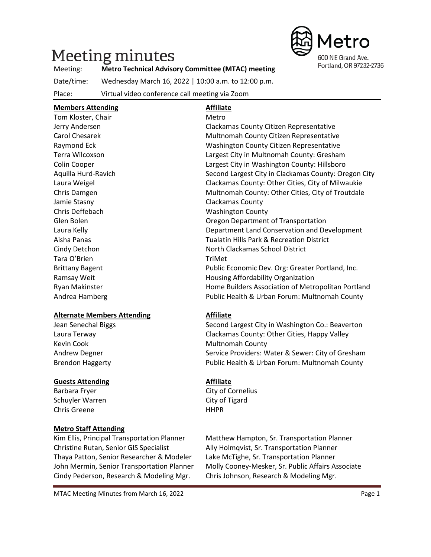# **Meeting minutes**



#### Meeting: **Metro Technical Advisory Committee (MTAC) meeting**

Date/time: Wednesday March 16, 2022 | 10:00 a.m. to 12:00 p.m.

Place: Virtual video conference call meeting via Zoom

# **Members Attending Affiliate**

| Tom Kloster, Chair     | Metro                                                |
|------------------------|------------------------------------------------------|
| Jerry Andersen         | Clackamas County Citizen Representative              |
| Carol Chesarek         | Multnomah County Citizen Representative              |
| Raymond Eck            | Washington County Citizen Representative             |
| Terra Wilcoxson        | Largest City in Multnomah County: Gresham            |
| Colin Cooper           | Largest City in Washington County: Hillsboro         |
| Aquilla Hurd-Ravich    | Second Largest City in Clackamas County: Oregon City |
| Laura Weigel           | Clackamas County: Other Cities, City of Milwaukie    |
| Chris Damgen           | Multnomah County: Other Cities, City of Troutdale    |
| Jamie Stasny           | Clackamas County                                     |
| Chris Deffebach        | <b>Washington County</b>                             |
| Glen Bolen             | Oregon Department of Transportation                  |
| Laura Kelly            | Department Land Conservation and Development         |
| Aisha Panas            | <b>Tualatin Hills Park &amp; Recreation District</b> |
| Cindy Detchon          | North Clackamas School District                      |
| Tara O'Brien           | TriMet                                               |
| <b>Brittany Bagent</b> | Public Economic Dev. Org: Greater Portland, Inc.     |
| Ramsay Weit            | Housing Affordability Organization                   |
| Ryan Makinster         | Home Builders Association of Metropolitan Portland   |
| Andrea Hamberg         | Public Health & Urban Forum: Multnomah County        |

#### **Alternate Members Attending Affiliate**

Kevin Cook **Multnomah County** 

#### **Guests Attending Affiliate**

Barbara Fryer City of Cornelius Schuyler Warren **City of Tigard** Chris Greene HHPR

#### **Metro Staff Attending**

Christine Rutan, Senior GIS Specialist Ally Holmqvist, Sr. Transportation Planner Thaya Patton, Senior Researcher & Modeler Lake McTighe, Sr. Transportation Planner Cindy Pederson, Research & Modeling Mgr. Chris Johnson, Research & Modeling Mgr.

Jean Senechal Biggs Second Largest City in Washington Co.: Beaverton Laura Terway Clackamas County: Other Cities, Happy Valley Andrew Degner Service Providers: Water & Sewer: City of Gresham Brendon Haggerty Public Health & Urban Forum: Multnomah County

Kim Ellis, Principal Transportation Planner Matthew Hampton, Sr. Transportation Planner John Mermin, Senior Transportation Planner Molly Cooney-Mesker, Sr. Public Affairs Associate

MTAC Meeting Minutes from March 16, 2022 **Page 1 Page 1**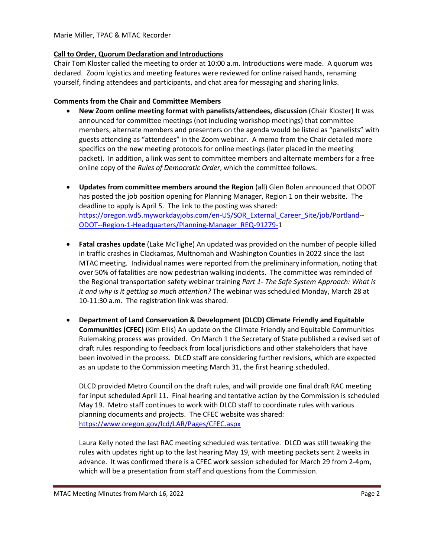#### Marie Miller, TPAC & MTAC Recorder

#### **Call to Order, Quorum Declaration and Introductions**

Chair Tom Kloster called the meeting to order at 10:00 a.m. Introductions were made. A quorum was declared. Zoom logistics and meeting features were reviewed for online raised hands, renaming yourself, finding attendees and participants, and chat area for messaging and sharing links.

#### **Comments from the Chair and Committee Members**

- **New Zoom online meeting format with panelists/attendees, discussion** (Chair Kloster) It was announced for committee meetings (not including workshop meetings) that committee members, alternate members and presenters on the agenda would be listed as "panelists" with guests attending as "attendees" in the Zoom webinar. A memo from the Chair detailed more specifics on the new meeting protocols for online meetings (later placed in the meeting packet). In addition, a link was sent to committee members and alternate members for a free online copy of the *Rules of Democratic Order*, which the committee follows.
- **Updates from committee members around the Region** (all) Glen Bolen announced that ODOT has posted the job position opening for Planning Manager, Region 1 on their website. The deadline to apply is April 5. The link to the posting was shared: [https://oregon.wd5.myworkdayjobs.com/en-US/SOR\\_External\\_Career\\_Site/job/Portland--](https://oregon.wd5.myworkdayjobs.com/en-US/SOR_External_Career_Site/job/Portland--ODOT--Region-1-Headquarters/Planning-Manager_REQ-91279-) [ODOT--Region-1-Headquarters/Planning-Manager\\_REQ-91279-1](https://oregon.wd5.myworkdayjobs.com/en-US/SOR_External_Career_Site/job/Portland--ODOT--Region-1-Headquarters/Planning-Manager_REQ-91279-)
- **Fatal crashes update** (Lake McTighe) An updated was provided on the number of people killed in traffic crashes in Clackamas, Multnomah and Washington Counties in 2022 since the last MTAC meeting. Individual names were reported from the preliminary information, noting that over 50% of fatalities are now pedestrian walking incidents. The committee was reminded of the Regional transportation safety webinar training *Part 1- The Safe System Approach: What is it and why is it getting so much attention?* The webinar was scheduled Monday, March 28 at 10-11:30 a.m. The registration link was shared.
- **Department of Land Conservation & Development (DLCD) Climate Friendly and Equitable Communities (CFEC)** (Kim Ellis) An update on the Climate Friendly and Equitable Communities Rulemaking process was provided. On March 1 the Secretary of State published a revised set of draft rules responding to feedback from local jurisdictions and other stakeholders that have been involved in the process. DLCD staff are considering further revisions, which are expected as an update to the Commission meeting March 31, the first hearing scheduled.

DLCD provided Metro Council on the draft rules, and will provide one final draft RAC meeting for input scheduled April 11. Final hearing and tentative action by the Commission is scheduled May 19. Metro staff continues to work with DLCD staff to coordinate rules with various planning documents and projects. The CFEC website was shared: <https://www.oregon.gov/lcd/LAR/Pages/CFEC.aspx>

Laura Kelly noted the last RAC meeting scheduled was tentative. DLCD was still tweaking the rules with updates right up to the last hearing May 19, with meeting packets sent 2 weeks in advance. It was confirmed there is a CFEC work session scheduled for March 29 from 2-4pm, which will be a presentation from staff and questions from the Commission.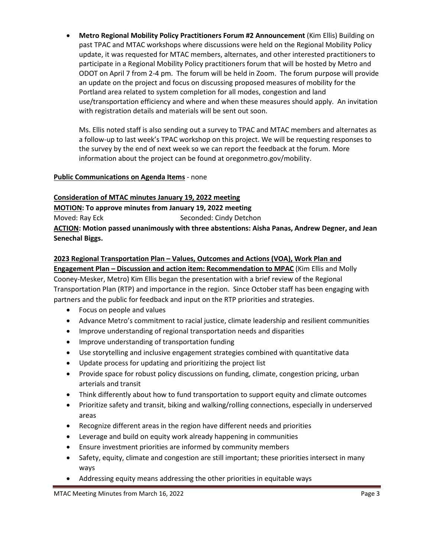• **Metro Regional Mobility Policy Practitioners Forum #2 Announcement** (Kim Ellis) Building on past TPAC and MTAC workshops where discussions were held on the Regional Mobility Policy update, it was requested for MTAC members, alternates, and other interested practitioners to participate in a Regional Mobility Policy practitioners forum that will be hosted by Metro and ODOT on April 7 from 2-4 pm. The forum will be held in Zoom. The forum purpose will provide an update on the project and focus on discussing proposed measures of mobility for the Portland area related to system completion for all modes, congestion and land use/transportation efficiency and where and when these measures should apply. An invitation with registration details and materials will be sent out soon.

Ms. Ellis noted staff is also sending out a survey to TPAC and MTAC members and alternates as a follow-up to last week's TPAC workshop on this project. We will be requesting responses to the survey by the end of next week so we can report the feedback at the forum. More information about the project can be found at oregonmetro.gov/mobility.

#### **Public Communications on Agenda Items** - none

#### **Consideration of MTAC minutes January 19, 2022 meeting**

**MOTION: To approve minutes from January 19, 2022 meeting**

Moved: Ray Eck Seconded: Cindy Detchon

**ACTION: Motion passed unanimously with three abstentions: Aisha Panas, Andrew Degner, and Jean Senechal Biggs.**

#### **2023 Regional Transportation Plan – Values, Outcomes and Actions (VOA), Work Plan and**

**Engagement Plan – Discussion and action item: Recommendation to MPAC** (Kim Ellis and Molly Cooney-Mesker, Metro) Kim Ellis began the presentation with a brief review of the Regional Transportation Plan (RTP) and importance in the region. Since October staff has been engaging with partners and the public for feedback and input on the RTP priorities and strategies.

- Focus on people and values
- Advance Metro's commitment to racial justice, climate leadership and resilient communities
- Improve understanding of regional transportation needs and disparities
- Improve understanding of transportation funding
- Use storytelling and inclusive engagement strategies combined with quantitative data
- Update process for updating and prioritizing the project list
- Provide space for robust policy discussions on funding, climate, congestion pricing, urban arterials and transit
- Think differently about how to fund transportation to support equity and climate outcomes
- Prioritize safety and transit, biking and walking/rolling connections, especially in underserved areas
- Recognize different areas in the region have different needs and priorities
- Leverage and build on equity work already happening in communities
- Ensure investment priorities are informed by community members
- Safety, equity, climate and congestion are still important; these priorities intersect in many ways
- Addressing equity means addressing the other priorities in equitable ways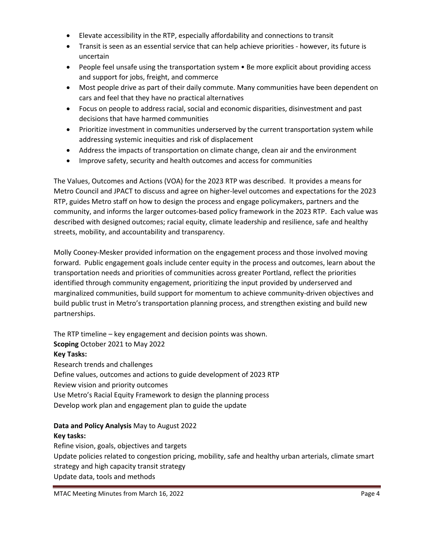- Elevate accessibility in the RTP, especially affordability and connections to transit
- Transit is seen as an essential service that can help achieve priorities however, its future is uncertain
- People feel unsafe using the transportation system Be more explicit about providing access and support for jobs, freight, and commerce
- Most people drive as part of their daily commute. Many communities have been dependent on cars and feel that they have no practical alternatives
- Focus on people to address racial, social and economic disparities, disinvestment and past decisions that have harmed communities
- Prioritize investment in communities underserved by the current transportation system while addressing systemic inequities and risk of displacement
- Address the impacts of transportation on climate change, clean air and the environment
- Improve safety, security and health outcomes and access for communities

The Values, Outcomes and Actions (VOA) for the 2023 RTP was described. It provides a means for Metro Council and JPACT to discuss and agree on higher-level outcomes and expectations for the 2023 RTP, guides Metro staff on how to design the process and engage policymakers, partners and the community, and informs the larger outcomes-based policy framework in the 2023 RTP. Each value was described with designed outcomes; racial equity, climate leadership and resilience, safe and healthy streets, mobility, and accountability and transparency.

Molly Cooney-Mesker provided information on the engagement process and those involved moving forward. Public engagement goals include center equity in the process and outcomes, learn about the transportation needs and priorities of communities across greater Portland, reflect the priorities identified through community engagement, prioritizing the input provided by underserved and marginalized communities, build support for momentum to achieve community-driven objectives and build public trust in Metro's transportation planning process, and strengthen existing and build new partnerships.

The RTP timeline – key engagement and decision points was shown. **Scoping** October 2021 to May 2022 **Key Tasks:** Research trends and challenges Define values, outcomes and actions to guide development of 2023 RTP Review vision and priority outcomes Use Metro's Racial Equity Framework to design the planning process Develop work plan and engagement plan to guide the update

### **Data and Policy Analysis** May to August 2022 **Key tasks:**

Refine vision, goals, objectives and targets Update policies related to congestion pricing, mobility, safe and healthy urban arterials, climate smart strategy and high capacity transit strategy Update data, tools and methods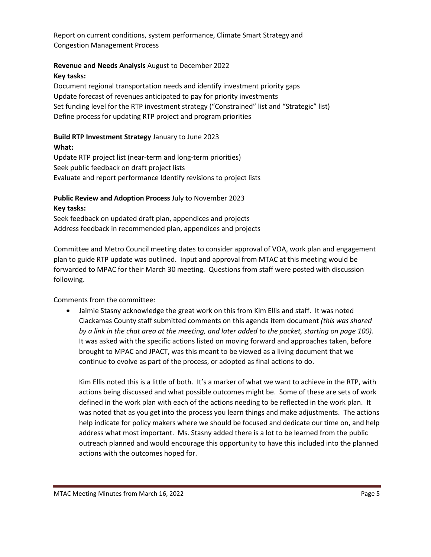Report on current conditions, system performance, Climate Smart Strategy and Congestion Management Process

#### **Revenue and Needs Analysis** August to December 2022

#### **Key tasks:**

Document regional transportation needs and identify investment priority gaps Update forecast of revenues anticipated to pay for priority investments Set funding level for the RTP investment strategy ("Constrained" list and "Strategic" list) Define process for updating RTP project and program priorities

# **Build RTP Investment Strategy** January to June 2023

**What:**

Update RTP project list (near-term and long-term priorities) Seek public feedback on draft project lists Evaluate and report performance Identify revisions to project lists

# **Public Review and Adoption Process** July to November 2023 **Key tasks:**

Seek feedback on updated draft plan, appendices and projects Address feedback in recommended plan, appendices and projects

Committee and Metro Council meeting dates to consider approval of VOA, work plan and engagement plan to guide RTP update was outlined. Input and approval from MTAC at this meeting would be forwarded to MPAC for their March 30 meeting. Questions from staff were posted with discussion following.

Comments from the committee:

• Jaimie Stasny acknowledge the great work on this from Kim Ellis and staff. It was noted Clackamas County staff submitted comments on this agenda item document *(this was shared by a link in the chat area at the meeting, and later added to the packet, starting on page 100)*. It was asked with the specific actions listed on moving forward and approaches taken, before brought to MPAC and JPACT, was this meant to be viewed as a living document that we continue to evolve as part of the process, or adopted as final actions to do.

Kim Ellis noted this is a little of both. It's a marker of what we want to achieve in the RTP, with actions being discussed and what possible outcomes might be. Some of these are sets of work defined in the work plan with each of the actions needing to be reflected in the work plan. It was noted that as you get into the process you learn things and make adjustments. The actions help indicate for policy makers where we should be focused and dedicate our time on, and help address what most important. Ms. Stasny added there is a lot to be learned from the public outreach planned and would encourage this opportunity to have this included into the planned actions with the outcomes hoped for.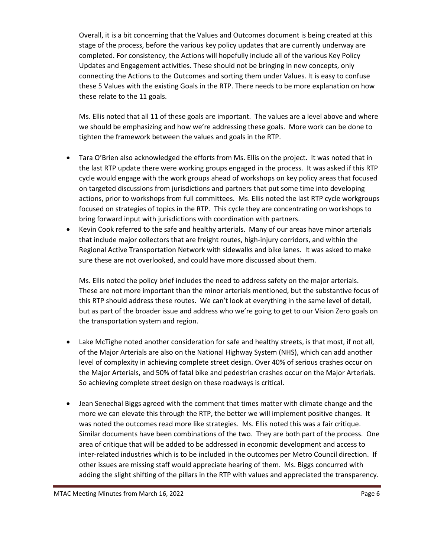Overall, it is a bit concerning that the Values and Outcomes document is being created at this stage of the process, before the various key policy updates that are currently underway are completed. For consistency, the Actions will hopefully include all of the various Key Policy Updates and Engagement activities. These should not be bringing in new concepts, only connecting the Actions to the Outcomes and sorting them under Values. It is easy to confuse these 5 Values with the existing Goals in the RTP. There needs to be more explanation on how these relate to the 11 goals.

Ms. Ellis noted that all 11 of these goals are important. The values are a level above and where we should be emphasizing and how we're addressing these goals. More work can be done to tighten the framework between the values and goals in the RTP.

- Tara O'Brien also acknowledged the efforts from Ms. Ellis on the project. It was noted that in the last RTP update there were working groups engaged in the process. It was asked if this RTP cycle would engage with the work groups ahead of workshops on key policy areas that focused on targeted discussions from jurisdictions and partners that put some time into developing actions, prior to workshops from full committees. Ms. Ellis noted the last RTP cycle workgroups focused on strategies of topics in the RTP. This cycle they are concentrating on workshops to bring forward input with jurisdictions with coordination with partners.
- Kevin Cook referred to the safe and healthy arterials. Many of our areas have minor arterials that include major collectors that are freight routes, high-injury corridors, and within the Regional Active Transportation Network with sidewalks and bike lanes. It was asked to make sure these are not overlooked, and could have more discussed about them.

Ms. Ellis noted the policy brief includes the need to address safety on the major arterials. These are not more important than the minor arterials mentioned, but the substantive focus of this RTP should address these routes. We can't look at everything in the same level of detail, but as part of the broader issue and address who we're going to get to our Vision Zero goals on the transportation system and region.

- Lake McTighe noted another consideration for safe and healthy streets, is that most, if not all, of the Major Arterials are also on the National Highway System (NHS), which can add another level of complexity in achieving complete street design. Over 40% of serious crashes occur on the Major Arterials, and 50% of fatal bike and pedestrian crashes occur on the Major Arterials. So achieving complete street design on these roadways is critical.
- Jean Senechal Biggs agreed with the comment that times matter with climate change and the more we can elevate this through the RTP, the better we will implement positive changes. It was noted the outcomes read more like strategies. Ms. Ellis noted this was a fair critique. Similar documents have been combinations of the two. They are both part of the process. One area of critique that will be added to be addressed in economic development and access to inter-related industries which is to be included in the outcomes per Metro Council direction. If other issues are missing staff would appreciate hearing of them. Ms. Biggs concurred with adding the slight shifting of the pillars in the RTP with values and appreciated the transparency.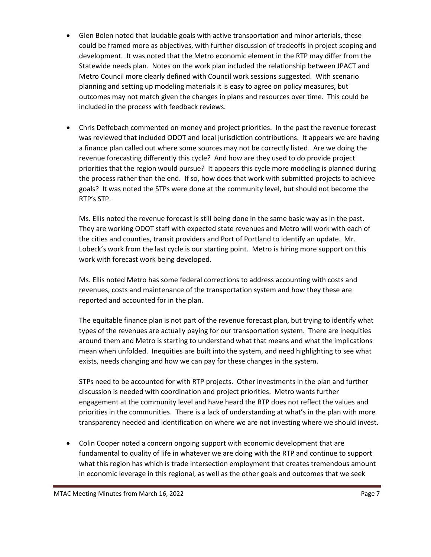- Glen Bolen noted that laudable goals with active transportation and minor arterials, these could be framed more as objectives, with further discussion of tradeoffs in project scoping and development. It was noted that the Metro economic element in the RTP may differ from the Statewide needs plan. Notes on the work plan included the relationship between JPACT and Metro Council more clearly defined with Council work sessions suggested. With scenario planning and setting up modeling materials it is easy to agree on policy measures, but outcomes may not match given the changes in plans and resources over time. This could be included in the process with feedback reviews.
- Chris Deffebach commented on money and project priorities. In the past the revenue forecast was reviewed that included ODOT and local jurisdiction contributions. It appears we are having a finance plan called out where some sources may not be correctly listed. Are we doing the revenue forecasting differently this cycle? And how are they used to do provide project priorities that the region would pursue? It appears this cycle more modeling is planned during the process rather than the end. If so, how does that work with submitted projects to achieve goals? It was noted the STPs were done at the community level, but should not become the RTP's STP.

Ms. Ellis noted the revenue forecast is still being done in the same basic way as in the past. They are working ODOT staff with expected state revenues and Metro will work with each of the cities and counties, transit providers and Port of Portland to identify an update. Mr. Lobeck's work from the last cycle is our starting point. Metro is hiring more support on this work with forecast work being developed.

Ms. Ellis noted Metro has some federal corrections to address accounting with costs and revenues, costs and maintenance of the transportation system and how they these are reported and accounted for in the plan.

The equitable finance plan is not part of the revenue forecast plan, but trying to identify what types of the revenues are actually paying for our transportation system. There are inequities around them and Metro is starting to understand what that means and what the implications mean when unfolded. Inequities are built into the system, and need highlighting to see what exists, needs changing and how we can pay for these changes in the system.

STPs need to be accounted for with RTP projects. Other investments in the plan and further discussion is needed with coordination and project priorities. Metro wants further engagement at the community level and have heard the RTP does not reflect the values and priorities in the communities. There is a lack of understanding at what's in the plan with more transparency needed and identification on where we are not investing where we should invest.

• Colin Cooper noted a concern ongoing support with economic development that are fundamental to quality of life in whatever we are doing with the RTP and continue to support what this region has which is trade intersection employment that creates tremendous amount in economic leverage in this regional, as well as the other goals and outcomes that we seek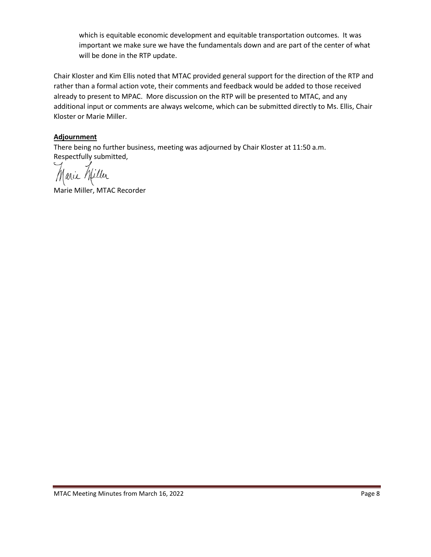which is equitable economic development and equitable transportation outcomes. It was important we make sure we have the fundamentals down and are part of the center of what will be done in the RTP update.

Chair Kloster and Kim Ellis noted that MTAC provided general support for the direction of the RTP and rather than a formal action vote, their comments and feedback would be added to those received already to present to MPAC. More discussion on the RTP will be presented to MTAC, and any additional input or comments are always welcome, which can be submitted directly to Ms. Ellis, Chair Kloster or Marie Miller.

#### **Adjournment**

There being no further business, meeting was adjourned by Chair Kloster at 11:50 a.m. Respectfully submitted,

Marie Miller

Marie Miller, MTAC Recorder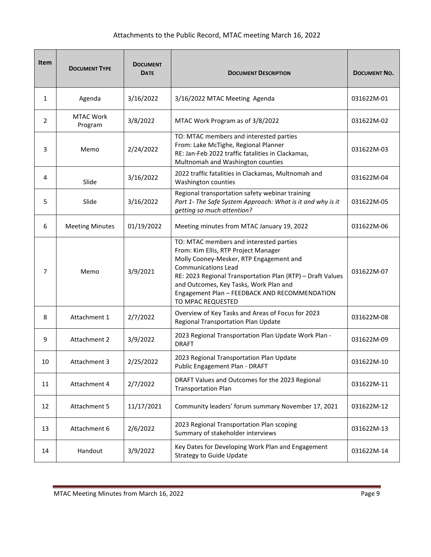## Attachments to the Public Record, MTAC meeting March 16, 2022

| <b>Item</b>    | <b>DOCUMENT TYPE</b>        | <b>DOCUMENT</b><br><b>DATE</b> | <b>DOCUMENT DESCRIPTION</b>                                                                                                                                                                                                                                                                                                            | <b>DOCUMENT NO.</b> |
|----------------|-----------------------------|--------------------------------|----------------------------------------------------------------------------------------------------------------------------------------------------------------------------------------------------------------------------------------------------------------------------------------------------------------------------------------|---------------------|
| 1              | Agenda                      | 3/16/2022                      | 3/16/2022 MTAC Meeting Agenda                                                                                                                                                                                                                                                                                                          | 031622M-01          |
| $\overline{2}$ | <b>MTAC Work</b><br>Program | 3/8/2022                       | MTAC Work Program as of 3/8/2022                                                                                                                                                                                                                                                                                                       | 031622M-02          |
| 3              | Memo                        | 2/24/2022                      | TO: MTAC members and interested parties<br>From: Lake McTighe, Regional Planner<br>RE: Jan-Feb 2022 traffic fatalities in Clackamas,<br>Multnomah and Washington counties                                                                                                                                                              | 031622M-03          |
| 4              | Slide                       | 3/16/2022                      | 2022 traffic fatalities in Clackamas, Multnomah and<br>Washington counties                                                                                                                                                                                                                                                             | 031622M-04          |
| 5              | Slide                       | 3/16/2022                      | Regional transportation safety webinar training<br>Part 1- The Safe System Approach: What is it and why is it<br>getting so much attention?                                                                                                                                                                                            | 031622M-05          |
| 6              | <b>Meeting Minutes</b>      | 01/19/2022                     | Meeting minutes from MTAC January 19, 2022                                                                                                                                                                                                                                                                                             | 031622M-06          |
| 7              | Memo                        | 3/9/2021                       | TO: MTAC members and interested parties<br>From: Kim Ellis, RTP Project Manager<br>Molly Cooney-Mesker, RTP Engagement and<br><b>Communications Lead</b><br>RE: 2023 Regional Transportation Plan (RTP) - Draft Values<br>and Outcomes, Key Tasks, Work Plan and<br>Engagement Plan - FEEDBACK AND RECOMMENDATION<br>TO MPAC REQUESTED | 031622M-07          |
| 8              | Attachment 1                | 2/7/2022                       | Overview of Key Tasks and Areas of Focus for 2023<br>Regional Transportation Plan Update                                                                                                                                                                                                                                               | 031622M-08          |
| 9              | Attachment 2                | 3/9/2022                       | 2023 Regional Transportation Plan Update Work Plan -<br><b>DRAFT</b>                                                                                                                                                                                                                                                                   | 031622M-09          |
| 10             | Attachment 3                | 2/25/2022                      | 2023 Regional Transportation Plan Update<br>Public Engagement Plan - DRAFT                                                                                                                                                                                                                                                             | 031622M-10          |
| 11             | Attachment 4                | 2/7/2022                       | DRAFT Values and Outcomes for the 2023 Regional<br><b>Transportation Plan</b>                                                                                                                                                                                                                                                          | 031622M-11          |
| 12             | Attachment 5                | 11/17/2021                     | Community leaders' forum summary November 17, 2021                                                                                                                                                                                                                                                                                     | 031622M-12          |
| 13             | Attachment 6                | 2/6/2022                       | 2023 Regional Transportation Plan scoping<br>Summary of stakeholder interviews                                                                                                                                                                                                                                                         | 031622M-13          |
| 14             | Handout                     | 3/9/2022                       | Key Dates for Developing Work Plan and Engagement<br><b>Strategy to Guide Update</b>                                                                                                                                                                                                                                                   | 031622M-14          |